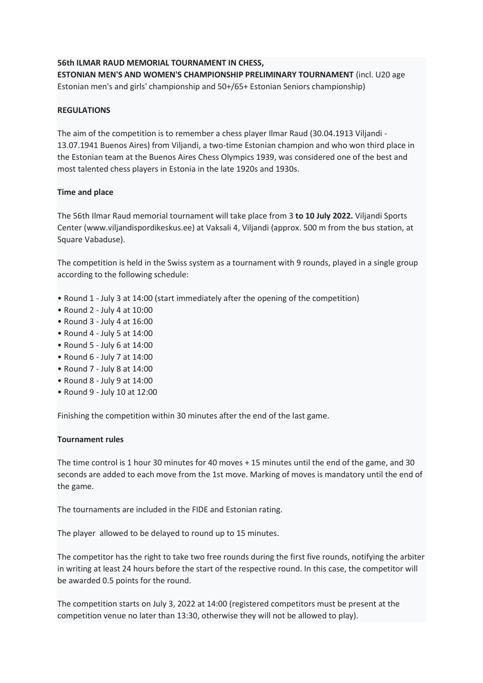# **56th ILMAR RAUD MEMORIAL TOURNAMENT IN CHESS,**

**ESTONIAN MEN'S AND WOMEN'S CHAMPIONSHIP PRELIMINARY TOURNAMENT** (incl. U20 age Estonian men's and girls' championship and 50+/65+ Estonian Seniors championship)

## **REGULATIONS**

The aim of the competition is to remember a chess player Ilmar Raud (30.04.1913 Viljandi - 13.07.1941 Buenos Aires) from Viljandi, a two-time Estonian champion and who won third place in the Estonian team at the Buenos Aires Chess Olympics 1939, was considered one of the best and most talented chess players in Estonia in the late 1920s and 1930s.

## **Time and place**

The 56th Ilmar Raud memorial tournament will take place from 3 **to 10 July 2022.** Viljandi Sports Center (www.viljandispordikeskus.ee) at Vaksali 4, Viljandi (approx. 500 m from the bus station, at Square Vabaduse).

The competition is held in the Swiss system as a tournament with 9 rounds, played in a single group according to the following schedule:

- Round 1 July 3 at 14:00 (start immediately after the opening of the competition)
- Round 2 July 4 at 10:00
- Round 3 July 4 at 16:00
- Round 4 July 5 at 14:00
- Round 5 July 6 at 14:00
- Round 6 July 7 at 14:00
- Round 7 July 8 at 14:00
- Round 8 July 9 at 14:00
- Round 9 July 10 at 12:00

Finishing the competition within 30 minutes after the end of the last game.

### **Tournament rules**

The time control is 1 hour 30 minutes for 40 moves + 15 minutes until the end of the game, and 30 seconds are added to each move from the 1st move. Marking of moves is mandatory until the end of the game.

The tournaments are included in the FIDE and Estonian rating.

The player allowed to be delayed to round up to 15 minutes.

The competitor has the right to take two free rounds during the first five rounds, notifying the arbiter in writing at least 24 hours before the start of the respective round. In this case, the competitor will be awarded 0.5 points for the round.

The competition starts on July 3, 2022 at 14:00 (registered competitors must be present at the competition venue no later than 13:30, otherwise they will not be allowed to play).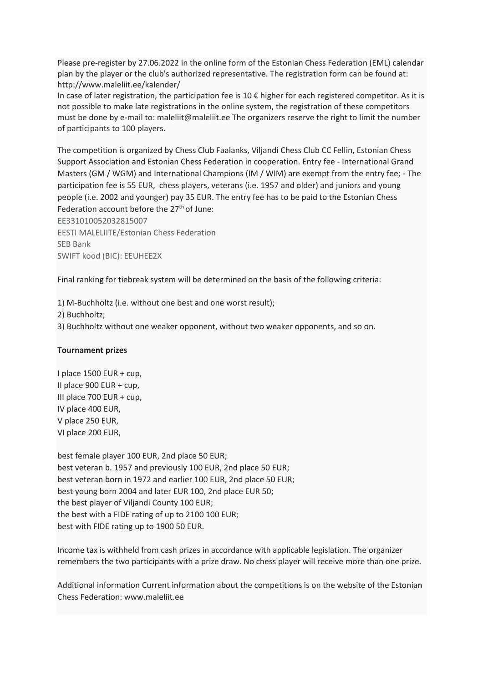Please pre-register by 27.06.2022 in the online form of the Estonian Chess Federation (EML) calendar plan by the player or the club's authorized representative. The registration form can be found at: http://www.maleliit.ee/kalender/

In case of later registration, the participation fee is 10 $\epsilon$  higher for each registered competitor. As it is not possible to make late registrations in the online system, the registration of these competitors must be done by e-mail to: maleliit@maleliit.ee The organizers reserve the right to limit the number of participants to 100 players.

The competition is organized by Chess Club Faalanks, Viljandi Chess Club CC Fellin, Estonian Chess Support Association and Estonian Chess Federation in cooperation. Entry fee - International Grand Masters (GM / WGM) and International Champions (IM / WIM) are exempt from the entry fee; - The participation fee is 55 EUR, chess players, veterans (i.e. 1957 and older) and juniors and young people (i.e. 2002 and younger) pay 35 EUR. The entry fee has to be paid to the Estonian Chess Federation account before the 27<sup>th</sup> of June:

EE331010052032815007 EESTI MALELIITE/Estonian Chess Federation SEB Bank SWIFT kood (BIC): EEUHEE2X

Final ranking for tiebreak system will be determined on the basis of the following criteria:

1) M-Buchholtz (i.e. without one best and one worst result);

2) Buchholtz;

3) Buchholtz without one weaker opponent, without two weaker opponents, and so on.

### **Tournament prizes**

I place 1500 EUR + cup, II place 900 EUR + cup, III place 700 EUR + cup, IV place 400 EUR, V place 250 EUR, VI place 200 EUR,

best female player 100 EUR, 2nd place 50 EUR; best veteran b. 1957 and previously 100 EUR, 2nd place 50 EUR; best veteran born in 1972 and earlier 100 EUR, 2nd place 50 EUR; best young born 2004 and later EUR 100, 2nd place EUR 50; the best player of Viljandi County 100 EUR; the best with a FIDE rating of up to 2100 100 EUR; best with FIDE rating up to 1900 50 EUR.

Income tax is withheld from cash prizes in accordance with applicable legislation. The organizer remembers the two participants with a prize draw. No chess player will receive more than one prize.

Additional information Current information about the competitions is on the website of the Estonian Chess Federation: www.maleliit.ee